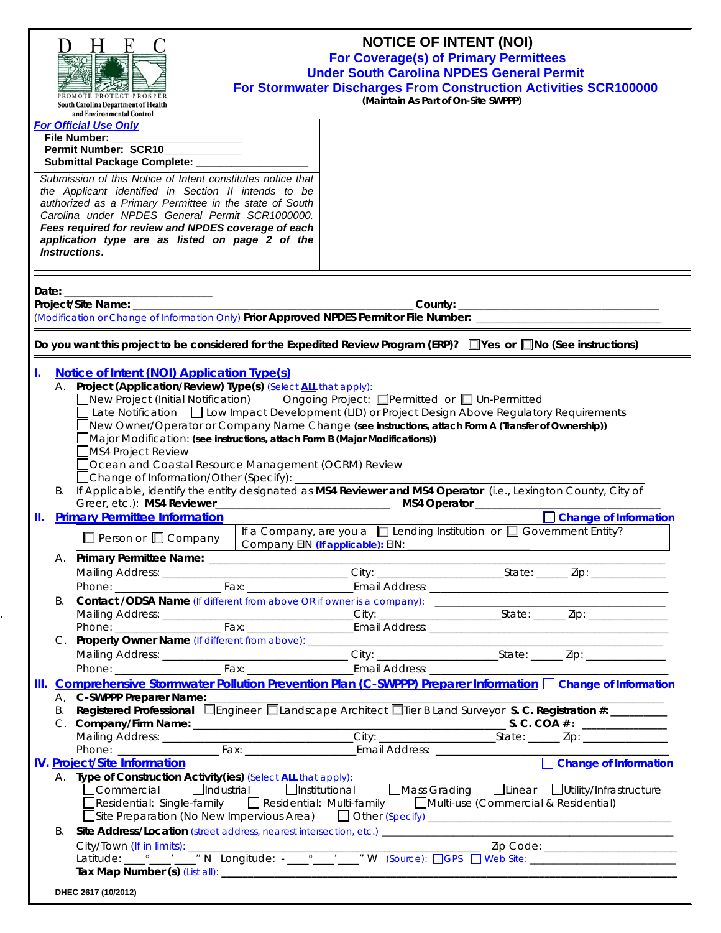| <b>For Official Use Only</b><br>File Number:<br>Permit Number: SCR10<br>Submittal Package Complete: __________<br>Submission of this Notice of Intent constitutes notice that<br>the Applicant identified in Section II intends to be<br>authorized as a Primary Permittee in the state of South<br>Carolina under NPDES General Permit SCR1000000.<br>Fees required for review and NPDES coverage of each<br>application type are as listed on page 2 of the<br><b>Instructions.</b><br>Do you want this project to be considered for the Expedited Review Program (ERP)? Nes or No (See instructions)<br><b>Notice of Intent (NOI) Application Type(s)</b><br>I.<br>A. Project (Application/Review) Type(s) (Select ALL that apply):<br>□New Project (Initial Notification) Ongoing Project: □Permitted or □ Un-Permitted<br>$\Box$ Late Notification $\Box$ Low Impact Development (LID) or Project Design Above Regulatory Requirements<br>New Owner/Operator or Company Name Change (see instructions, attach Form A (Transfer of Ownership))<br>Major Modification: (see instructions, attach Form B (Major Modifications))<br>MS4 Project Review<br>Ocean and Coastal Resource Management (OCRM) Review<br>□ Change of Information/Other (Specify):<br>B. If Applicable, identify the entity designated as MS4 Reviewer and MS4 Operator (i.e., Lexington County, City of<br>Change of Information<br><b>Primary Permittee Information</b><br>Ш.<br>If a Company, are you a $\Box$ Lending Institution or $\Box$ Government Entity?<br>$\Box$ Person or $\Box$ Company<br>В.<br>Mailing Address: __________________________________City: ________________________State: _______ Zip: _______________<br>Comprehensive Stormwater Pollution Prevention Plan (C-SWPPP) Preparer Information □ Change of Information<br>III.<br>A, C-SWPPP Preparer Name:<br>Registered Professional Engineer Elandscape Architect Flier B Land Surveyor S. C. Registration #:<br>В.<br><b>IV. Project/Site Information</b><br>A. Type of Construction Activity (ies) (Select ALL that apply):<br>□<br>□ Commercial □ Industrial □ Institutional □ Mass Grading □ Linear □ Utility/Infrastructure<br>□Residential: Single-family □ Residential: Multi-family □ □ Multi-use (Commercial & Residential)<br>B. | For Stormwater Discharges From Construction Activities SCR100000 |
|-------------------------------------------------------------------------------------------------------------------------------------------------------------------------------------------------------------------------------------------------------------------------------------------------------------------------------------------------------------------------------------------------------------------------------------------------------------------------------------------------------------------------------------------------------------------------------------------------------------------------------------------------------------------------------------------------------------------------------------------------------------------------------------------------------------------------------------------------------------------------------------------------------------------------------------------------------------------------------------------------------------------------------------------------------------------------------------------------------------------------------------------------------------------------------------------------------------------------------------------------------------------------------------------------------------------------------------------------------------------------------------------------------------------------------------------------------------------------------------------------------------------------------------------------------------------------------------------------------------------------------------------------------------------------------------------------------------------------------------------------------------------------------------------------------------------------------------------------------------------------------------------------------------------------------------------------------------------------------------------------------------------------------------------------------------------------------------------------------------------------------------------------------------------------------------------------------------------------------------------------------------------------------------------------|------------------------------------------------------------------|
|                                                                                                                                                                                                                                                                                                                                                                                                                                                                                                                                                                                                                                                                                                                                                                                                                                                                                                                                                                                                                                                                                                                                                                                                                                                                                                                                                                                                                                                                                                                                                                                                                                                                                                                                                                                                                                                                                                                                                                                                                                                                                                                                                                                                                                                                                                 |                                                                  |
|                                                                                                                                                                                                                                                                                                                                                                                                                                                                                                                                                                                                                                                                                                                                                                                                                                                                                                                                                                                                                                                                                                                                                                                                                                                                                                                                                                                                                                                                                                                                                                                                                                                                                                                                                                                                                                                                                                                                                                                                                                                                                                                                                                                                                                                                                                 |                                                                  |
|                                                                                                                                                                                                                                                                                                                                                                                                                                                                                                                                                                                                                                                                                                                                                                                                                                                                                                                                                                                                                                                                                                                                                                                                                                                                                                                                                                                                                                                                                                                                                                                                                                                                                                                                                                                                                                                                                                                                                                                                                                                                                                                                                                                                                                                                                                 |                                                                  |
|                                                                                                                                                                                                                                                                                                                                                                                                                                                                                                                                                                                                                                                                                                                                                                                                                                                                                                                                                                                                                                                                                                                                                                                                                                                                                                                                                                                                                                                                                                                                                                                                                                                                                                                                                                                                                                                                                                                                                                                                                                                                                                                                                                                                                                                                                                 |                                                                  |
|                                                                                                                                                                                                                                                                                                                                                                                                                                                                                                                                                                                                                                                                                                                                                                                                                                                                                                                                                                                                                                                                                                                                                                                                                                                                                                                                                                                                                                                                                                                                                                                                                                                                                                                                                                                                                                                                                                                                                                                                                                                                                                                                                                                                                                                                                                 |                                                                  |
|                                                                                                                                                                                                                                                                                                                                                                                                                                                                                                                                                                                                                                                                                                                                                                                                                                                                                                                                                                                                                                                                                                                                                                                                                                                                                                                                                                                                                                                                                                                                                                                                                                                                                                                                                                                                                                                                                                                                                                                                                                                                                                                                                                                                                                                                                                 |                                                                  |
|                                                                                                                                                                                                                                                                                                                                                                                                                                                                                                                                                                                                                                                                                                                                                                                                                                                                                                                                                                                                                                                                                                                                                                                                                                                                                                                                                                                                                                                                                                                                                                                                                                                                                                                                                                                                                                                                                                                                                                                                                                                                                                                                                                                                                                                                                                 |                                                                  |
|                                                                                                                                                                                                                                                                                                                                                                                                                                                                                                                                                                                                                                                                                                                                                                                                                                                                                                                                                                                                                                                                                                                                                                                                                                                                                                                                                                                                                                                                                                                                                                                                                                                                                                                                                                                                                                                                                                                                                                                                                                                                                                                                                                                                                                                                                                 |                                                                  |
|                                                                                                                                                                                                                                                                                                                                                                                                                                                                                                                                                                                                                                                                                                                                                                                                                                                                                                                                                                                                                                                                                                                                                                                                                                                                                                                                                                                                                                                                                                                                                                                                                                                                                                                                                                                                                                                                                                                                                                                                                                                                                                                                                                                                                                                                                                 |                                                                  |
|                                                                                                                                                                                                                                                                                                                                                                                                                                                                                                                                                                                                                                                                                                                                                                                                                                                                                                                                                                                                                                                                                                                                                                                                                                                                                                                                                                                                                                                                                                                                                                                                                                                                                                                                                                                                                                                                                                                                                                                                                                                                                                                                                                                                                                                                                                 |                                                                  |
|                                                                                                                                                                                                                                                                                                                                                                                                                                                                                                                                                                                                                                                                                                                                                                                                                                                                                                                                                                                                                                                                                                                                                                                                                                                                                                                                                                                                                                                                                                                                                                                                                                                                                                                                                                                                                                                                                                                                                                                                                                                                                                                                                                                                                                                                                                 |                                                                  |
|                                                                                                                                                                                                                                                                                                                                                                                                                                                                                                                                                                                                                                                                                                                                                                                                                                                                                                                                                                                                                                                                                                                                                                                                                                                                                                                                                                                                                                                                                                                                                                                                                                                                                                                                                                                                                                                                                                                                                                                                                                                                                                                                                                                                                                                                                                 |                                                                  |
|                                                                                                                                                                                                                                                                                                                                                                                                                                                                                                                                                                                                                                                                                                                                                                                                                                                                                                                                                                                                                                                                                                                                                                                                                                                                                                                                                                                                                                                                                                                                                                                                                                                                                                                                                                                                                                                                                                                                                                                                                                                                                                                                                                                                                                                                                                 |                                                                  |
|                                                                                                                                                                                                                                                                                                                                                                                                                                                                                                                                                                                                                                                                                                                                                                                                                                                                                                                                                                                                                                                                                                                                                                                                                                                                                                                                                                                                                                                                                                                                                                                                                                                                                                                                                                                                                                                                                                                                                                                                                                                                                                                                                                                                                                                                                                 |                                                                  |
|                                                                                                                                                                                                                                                                                                                                                                                                                                                                                                                                                                                                                                                                                                                                                                                                                                                                                                                                                                                                                                                                                                                                                                                                                                                                                                                                                                                                                                                                                                                                                                                                                                                                                                                                                                                                                                                                                                                                                                                                                                                                                                                                                                                                                                                                                                 |                                                                  |
|                                                                                                                                                                                                                                                                                                                                                                                                                                                                                                                                                                                                                                                                                                                                                                                                                                                                                                                                                                                                                                                                                                                                                                                                                                                                                                                                                                                                                                                                                                                                                                                                                                                                                                                                                                                                                                                                                                                                                                                                                                                                                                                                                                                                                                                                                                 |                                                                  |
|                                                                                                                                                                                                                                                                                                                                                                                                                                                                                                                                                                                                                                                                                                                                                                                                                                                                                                                                                                                                                                                                                                                                                                                                                                                                                                                                                                                                                                                                                                                                                                                                                                                                                                                                                                                                                                                                                                                                                                                                                                                                                                                                                                                                                                                                                                 |                                                                  |
|                                                                                                                                                                                                                                                                                                                                                                                                                                                                                                                                                                                                                                                                                                                                                                                                                                                                                                                                                                                                                                                                                                                                                                                                                                                                                                                                                                                                                                                                                                                                                                                                                                                                                                                                                                                                                                                                                                                                                                                                                                                                                                                                                                                                                                                                                                 |                                                                  |
|                                                                                                                                                                                                                                                                                                                                                                                                                                                                                                                                                                                                                                                                                                                                                                                                                                                                                                                                                                                                                                                                                                                                                                                                                                                                                                                                                                                                                                                                                                                                                                                                                                                                                                                                                                                                                                                                                                                                                                                                                                                                                                                                                                                                                                                                                                 |                                                                  |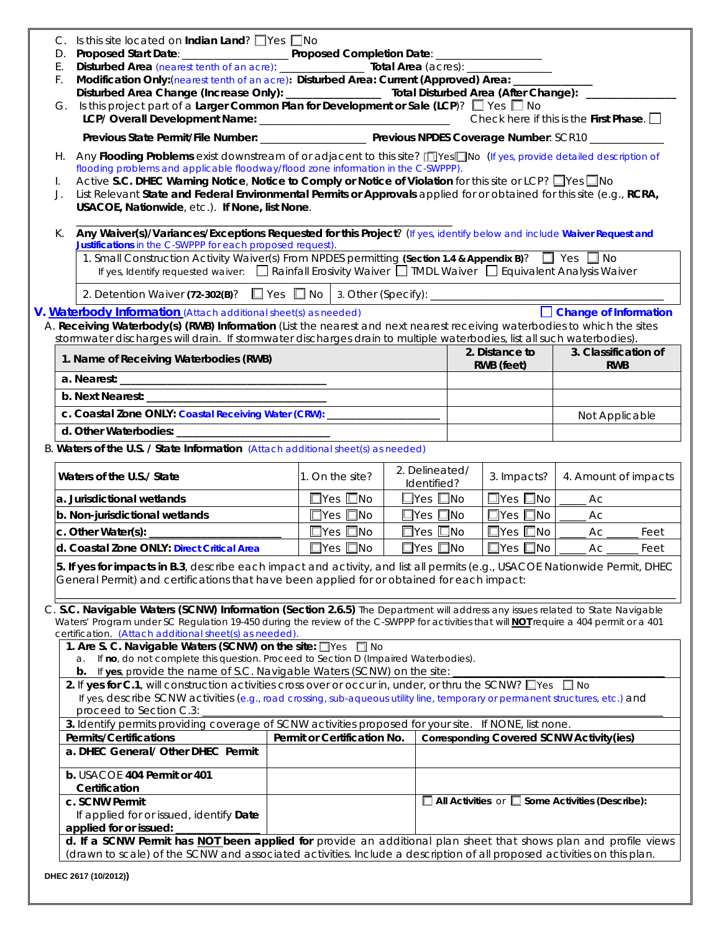| D.         | Is this site located on <b>Indian Land</b> ? $\Box$ Yes $\Box$ No                                                                                                                                                                                                                                                                        |                             |                               |                                                 |                                                             |
|------------|------------------------------------------------------------------------------------------------------------------------------------------------------------------------------------------------------------------------------------------------------------------------------------------------------------------------------------------|-----------------------------|-------------------------------|-------------------------------------------------|-------------------------------------------------------------|
| Ε.         |                                                                                                                                                                                                                                                                                                                                          |                             |                               |                                                 |                                                             |
| F.         | Modification Only: (nearest tenth of an acre): Disturbed Area: Current (Approved) Area: _______                                                                                                                                                                                                                                          |                             |                               |                                                 |                                                             |
|            | Disturbed Area Change (Increase Only): __________________ Total Disturbed Area (After Change): ________                                                                                                                                                                                                                                  |                             |                               |                                                 |                                                             |
| G.         | Is this project part of a Larger Common Plan for Development or Sale (LCP)? $\square$ Yes $\square$ No                                                                                                                                                                                                                                   |                             |                               |                                                 |                                                             |
|            |                                                                                                                                                                                                                                                                                                                                          |                             |                               |                                                 |                                                             |
| H. .<br>I. | Any Flooding Problems exist downstream of or adjacent to this site? [T]Yes T]No (If yes, provide detailed description of<br>flooding problems and applicable floodway/flood zone information in the C-SWPPP).<br>Active S.C. DHEC Warning Notice, Notice to Comply or Notice of Violation for this site or LCP? Nes                      |                             |                               |                                                 |                                                             |
| J.         | List Relevant State and Federal Environmental Permits or Approvals applied for or obtained for this site (e.g., RCRA,<br>USACOE, Nationwide, etc.). If None, list None.                                                                                                                                                                  |                             |                               |                                                 |                                                             |
| К.         | Any Waiver(s)/Variances/Exceptions Requested for this Project? (If yes, identify below and include Waiver Request and<br>Justifications in the C-SWPPP for each proposed request).                                                                                                                                                       |                             |                               |                                                 |                                                             |
|            | 1. Small Construction Activity Waiver(s) From NPDES permitting (Section 1.4 & Appendix B)? If Yes No<br>If yes, Identify requested waiver:<br>Rainfall Erosivity Waiver II TMDL Waiver II Equivalent Analysis Waiver                                                                                                                     |                             |                               |                                                 |                                                             |
|            | 2. Detention Waiver (72-302(B)? I Yes No 3. Other (Specify): 2. Detention Waiver (72-302(B)? I Yes No 3. Other (Specify):                                                                                                                                                                                                                |                             |                               |                                                 |                                                             |
|            | V. Waterbody Information (Attach additional sheet(s) as needed)                                                                                                                                                                                                                                                                          |                             |                               |                                                 | Change of Information                                       |
|            | A. Receiving Waterbody(s) (RWB) Information (List the nearest and next nearest receiving waterbodies to which the sites                                                                                                                                                                                                                  |                             |                               |                                                 |                                                             |
|            | stormwater discharges will drain. If stormwater discharges drain to multiple waterbodies, list all such waterbodies).                                                                                                                                                                                                                    |                             |                               |                                                 |                                                             |
|            | 1. Name of Receiving Waterbodies (RWB)                                                                                                                                                                                                                                                                                                   |                             |                               | 2. Distance to<br>RWB (feet)                    | 3. Classification of<br><b>RWB</b>                          |
|            |                                                                                                                                                                                                                                                                                                                                          |                             |                               |                                                 |                                                             |
|            |                                                                                                                                                                                                                                                                                                                                          |                             |                               |                                                 |                                                             |
|            | c. Coastal Zone ONLY: Coastal Receiving Water (CRW): ____________________                                                                                                                                                                                                                                                                |                             |                               |                                                 | Not Applicable                                              |
|            |                                                                                                                                                                                                                                                                                                                                          |                             |                               |                                                 |                                                             |
|            | B. Waters of the U.S. / State Information (Attach additional sheet(s) as needed)                                                                                                                                                                                                                                                         |                             |                               |                                                 |                                                             |
|            | Waters of the U.S./ State                                                                                                                                                                                                                                                                                                                | 1. On the site?             | 2. Delineated/<br>Identified? | 3. Impacts?                                     | 4. Amount of impacts                                        |
|            | a. Jurisdictional wetlands                                                                                                                                                                                                                                                                                                               | $\Box$ Yes $\Box$ No        | $\square$ Yes $\square$ No    | $\Box$ Yes $\Box$ No                            | Ac                                                          |
|            | b. Non-jurisdictional wetlands                                                                                                                                                                                                                                                                                                           | $\Box$ Yes $\Box$ No        | $\square$ Yes $\square$ No    | $\Box$ Yes $\Box$ No                            | Ac                                                          |
|            |                                                                                                                                                                                                                                                                                                                                          | $\square$ Yes $\square$ No  | $\Box$ Yes $\Box$ No          | $\square$ Yes $\square$ No                      | Ac<br>Feet                                                  |
|            | d. Coastal Zone ONLY: Direct Critical Area                                                                                                                                                                                                                                                                                               | $\square$ Yes $\square$ No  | $\square$ Yes $\square$ No    | $\square$ Yes $\square$ No                      | Ac<br>Feet                                                  |
|            | 5. If yes for impacts in B.3, describe each impact and activity, and list all permits (e.g., USACOE Nationwide Permit, DHEC<br>General Permit) and certifications that have been applied for or obtained for each impact:                                                                                                                |                             |                               |                                                 |                                                             |
|            | C. S.C. Navigable Waters (SCNW) Information (Section 2.6.5) The Department will address any issues related to State Navigable<br>Waters' Program under SC Regulation 19-450 during the review of the C-SWPPP for activities that will <b>NOT</b> require a 404 permit or a 401<br>certification. (Attach additional sheet(s) as needed). |                             |                               |                                                 |                                                             |
|            | 1. Are S. C. Navigable Waters (SCNW) on the site: Ves 0 No                                                                                                                                                                                                                                                                               |                             |                               |                                                 |                                                             |
|            | If no, do not complete this question. Proceed to Section D (Impaired Waterbodies).<br>a.<br>b. If yes, provide the name of S.C. Navigable Waters (SCNW) on the site:                                                                                                                                                                     |                             |                               |                                                 |                                                             |
|            | 2. If yes for C.1, will construction activities cross over or occur in, under, or thru the SCNW? U'ves U No<br>If yes, describe SCNW activities (e.g., road crossing, sub-aqueous utility line, temporary or permanent structures, etc.) and<br>proceed to Section C.3:                                                                  |                             |                               |                                                 |                                                             |
|            | 3. Identify permits providing coverage of SCNW activities proposed for your site. If NONE, list none.                                                                                                                                                                                                                                    |                             |                               |                                                 |                                                             |
|            | <b>Permits/Certifications</b>                                                                                                                                                                                                                                                                                                            | Permit or Certification No. |                               | <b>Corresponding Covered SCNW Activity(ies)</b> |                                                             |
|            | a. DHEC General/ Other DHEC Permit                                                                                                                                                                                                                                                                                                       |                             |                               |                                                 |                                                             |
|            | b. USACOE 404 Permit or 401<br>Certification                                                                                                                                                                                                                                                                                             |                             |                               |                                                 |                                                             |
|            | c. SCNW Permit<br>If applied for or issued, identify Date                                                                                                                                                                                                                                                                                |                             |                               |                                                 | $\Box$ All Activities or $\Box$ Some Activities (Describe): |
|            | applied for or issued:                                                                                                                                                                                                                                                                                                                   |                             |                               |                                                 |                                                             |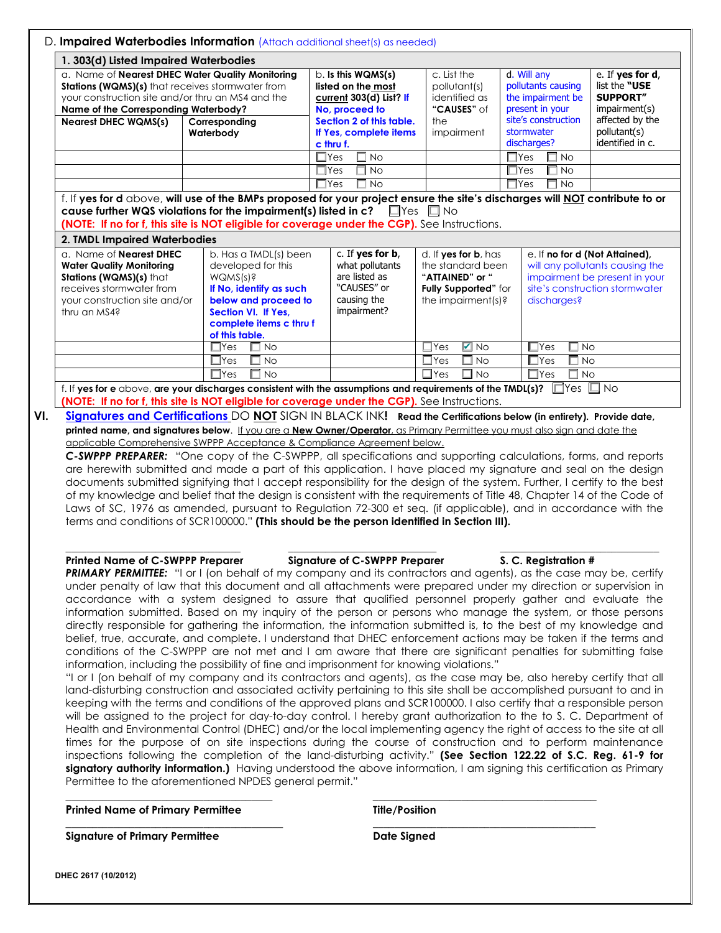| 1. 303(d) Listed Impaired Waterbodies                                                                                                                                                                     |                                                                                                                                                                                |                                                                                                   |                                                                                                            |                                                                                         |                                                                                                                                      |
|-----------------------------------------------------------------------------------------------------------------------------------------------------------------------------------------------------------|--------------------------------------------------------------------------------------------------------------------------------------------------------------------------------|---------------------------------------------------------------------------------------------------|------------------------------------------------------------------------------------------------------------|-----------------------------------------------------------------------------------------|--------------------------------------------------------------------------------------------------------------------------------------|
| a. Name of Nearest DHEC Water Quality Monitoring<br><b>Stations (WQMS)(s)</b> that receives stormwater from<br>your construction site and/or thru an MS4 and the<br>Name of the Corresponding Waterbody?  |                                                                                                                                                                                | $b.$ Is this $WQMS(s)$<br>listed on the most<br>current 303(d) List? If<br>No, proceed to         | c. List the<br>pollutant(s)<br>identified as<br>"CAUSES" of                                                | d. Will any<br>pollutants causing<br>the impairment be<br>present in your               | e. If yes for d,<br>list the "USE<br><b>SUPPORT"</b><br>impairment(s)                                                                |
| <b>Nearest DHEC WQMS(s)</b>                                                                                                                                                                               | Corresponding<br>Waterbody                                                                                                                                                     | Section 2 of this table.<br>If Yes, complete items<br>c thru f.                                   | the<br>impairment                                                                                          | site's construction<br>stormwater<br>discharges?                                        | affected by the<br>pollutant(s)<br>identified in c.                                                                                  |
|                                                                                                                                                                                                           |                                                                                                                                                                                | $\Box$ Yes<br>□ No<br>$\Box$ Yes<br><b>No</b><br>$\Box$ Yes<br><b>No</b>                          |                                                                                                            | П<br>$\Box$ Yes<br><b>No</b><br>$\Box$ No<br>$\Box$ Yes<br>$\Box$ Yes<br>□<br><b>No</b> |                                                                                                                                      |
|                                                                                                                                                                                                           | f. If yes for d above, will use of the BMPs proposed for your project ensure the site's discharges will NOT contribute to or                                                   |                                                                                                   |                                                                                                            |                                                                                         |                                                                                                                                      |
| cause further WQS violations for the impairment(s) listed in $c$ ? $\Box$ Yes $\Box$ No<br>(NOTE: If no for f, this site is NOT eligible for coverage under the CGP). See Instructions.                   |                                                                                                                                                                                |                                                                                                   |                                                                                                            |                                                                                         |                                                                                                                                      |
| 2. TMDL Impaired Waterbodies<br>a. Name of <b>Nearest DHEC</b><br><b>Water Quality Monitoring</b><br>Stations (WQMS)(s) that<br>receives stormwater from<br>your construction site and/or<br>thru an MS4? | b. Has a TMDL(s) been<br>developed for this<br>WQMS(s)?<br>If No, identify as such<br>below and proceed to<br>Section VI. If Yes.<br>complete items c thru f<br>of this table. | c. If yes for b,<br>what pollutants<br>are listed as<br>"CAUSES" or<br>causing the<br>impairment? | d. If yes for b, has<br>the standard been<br>"ATTAINED" or "<br>Fully Supported" for<br>the impairment(s)? | discharges?                                                                             | e. If no for d (Not Attained),<br>will any pollutants causing the<br>impairment be present in your<br>site's construction stormwater |
|                                                                                                                                                                                                           | $\Box$ Yes<br><b>No</b><br><b>No</b><br>$\Box$ Yes                                                                                                                             |                                                                                                   | $\blacksquare$ No<br>$\Box$ Yes<br>□<br><b>No</b><br>$\Box$ Yes                                            | $\Box$ Yes<br>$\Box$ No<br>$\Box$ Yes<br>⊟ No                                           |                                                                                                                                      |

**VI. Signatures and Certifications** DO **NOT** SIGN IN BLACK INK**! Read the Certifications below (in entirety). Provide date, printed name, and signatures below**. If you are a **New Owner/Operator**, as Primary Permittee you must also sign and date the applicable Comprehensive SWPPP Acceptance & Compliance Agreement below.

*C-SWPPP PREPARER:* "One copy of the C-SWPPP, all specifications and supporting calculations, forms, and reports are herewith submitted and made a part of this application. I have placed my signature and seal on the design documents submitted signifying that I accept responsibility for the design of the system. Further, I certify to the best of my knowledge and belief that the design is consistent with the requirements of Title 48, Chapter 14 of the Code of Laws of SC, 1976 as amended, pursuant to Regulation 72-300 et seq. (if applicable), and in accordance with the terms and conditions of SCR100000." **(This should be the person identified in Section III).** 

#### **Printed Name of C-SWPPP Preparer Signature of C-SWPPP Preparer S. C. Registration #**

# **\_\_\_\_\_\_\_\_\_\_\_\_\_\_\_\_\_\_\_\_\_\_\_\_\_\_\_\_\_\_\_\_\_ \_\_\_\_\_\_\_\_\_\_\_\_\_\_\_\_\_\_\_\_\_\_\_\_\_\_\_\_ \_\_\_\_\_\_\_\_\_\_\_\_\_\_\_\_\_\_\_\_\_\_\_\_\_\_\_\_\_\_**

**PRIMARY PERMITTEE:** "I or I (on behalf of my company and its contractors and agents), as the case may be, certify under penalty of law that this document and all attachments were prepared under my direction or supervision in accordance with a system designed to assure that qualified personnel properly gather and evaluate the information submitted. Based on my inquiry of the person or persons who manage the system, or those persons directly responsible for gathering the information, the information submitted is, to the best of my knowledge and belief, true, accurate, and complete. I understand that DHEC enforcement actions may be taken if the terms and conditions of the C-SWPPP are not met and I am aware that there are significant penalties for submitting false information, including the possibility of fine and imprisonment for knowing violations."

"I or I (on behalf of my company and its contractors and agents), as the case may be, also hereby certify that all land-disturbing construction and associated activity pertaining to this site shall be accomplished pursuant to and in keeping with the terms and conditions of the approved plans and SCR100000. I also certify that a responsible person will be assigned to the project for day-to-day control. I hereby grant authorization to the to S. C. Department of Health and Environmental Control (DHEC) and/or the local implementing agency the right of access to the site at all times for the purpose of on site inspections during the course of construction and to perform maintenance inspections following the completion of the land-disturbing activity." **(See Section 122.22 of S.C. Reg. 61-9 for signatory authority information.)** Having understood the above information, I am signing this certification as Primary Permittee to the aforementioned NPDES general permit."

**\_\_\_\_\_\_\_\_\_\_\_\_\_\_\_\_\_\_\_\_\_\_\_\_\_\_\_\_\_\_\_\_\_\_\_\_\_\_\_ \_\_\_\_\_\_\_\_\_\_\_\_\_\_\_\_\_\_\_\_\_\_\_\_\_\_\_\_\_\_\_\_\_\_\_\_\_\_**

**Printed Name of Primary Permittee Title/Position** 

**Signature of Primary Permittee Date Signed Date Signed Primary Permittee Accord Primary Primary Primary Primary Primary Primary Primary Primary Primary Primary Primary Primary Primary Primary Primary Primary Primary Prima** 

**\_\_\_\_\_\_\_\_\_\_\_\_\_\_\_\_\_\_\_\_\_\_\_\_\_\_\_\_\_\_\_\_\_\_\_\_\_\_\_\_\_ \_\_\_\_\_\_\_\_\_\_\_\_\_\_\_\_\_\_\_\_\_\_\_\_\_\_\_\_\_\_\_\_\_\_\_\_\_\_\_\_\_\_** 

**DHEC 2617 (10/2012)**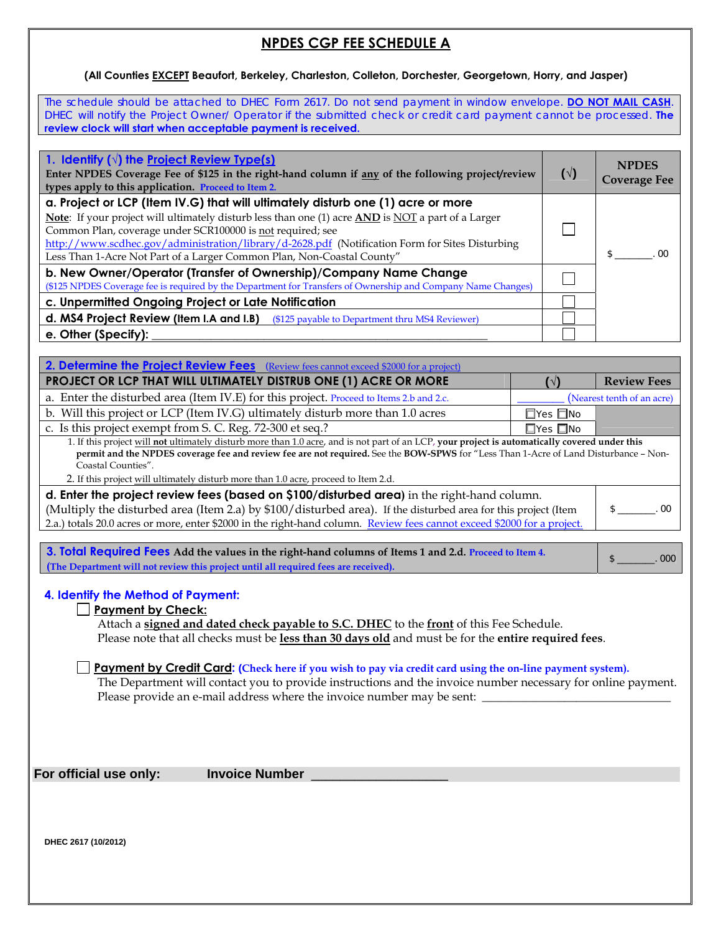# **NPDES CGP FEE SCHEDULE A**

#### **(All Counties EXCEPT Beaufort, Berkeley, Charleston, Colleton, Dorchester, Georgetown, Horry, and Jasper)**

The schedule should be attached to DHEC Form 2617. Do not send payment in window envelope. **DO NOT MAIL CASH**. DHEC will notify the Project Owner/ Operator if the submitted check or credit card payment cannot be processed. **The review clock will start when acceptable payment is received.**

| 1. Identify $(\sqrt{ } )$ the Project Review Type(s)<br>Enter NPDES Coverage Fee of \$125 in the right-hand column if any of the following project/review<br>types apply to this application. Proceed to Item 2.                                                                                                                                                                                                                 | $(\vee)$ | <b>NPDES</b><br><b>Coverage Fee</b> |
|----------------------------------------------------------------------------------------------------------------------------------------------------------------------------------------------------------------------------------------------------------------------------------------------------------------------------------------------------------------------------------------------------------------------------------|----------|-------------------------------------|
| a. Project or LCP (Item IV.G) that will ultimately disturb one (1) acre or more<br>Note: If your project will ultimately disturb less than one (1) acre AND is NOT a part of a Larger<br>Common Plan, coverage under SCR100000 is not required; see<br>http://www.scdhec.gov/administration/library/d-2628.pdf (Notification Form for Sites Disturbing<br>Less Than 1-Acre Not Part of a Larger Common Plan, Non-Coastal County" |          | nn                                  |
| b. New Owner/Operator (Transfer of Ownership)/Company Name Change<br>(\$125 NPDES Coverage fee is required by the Department for Transfers of Ownership and Company Name Changes)                                                                                                                                                                                                                                                |          |                                     |
| c. Unpermitted Ongoing Project or Late Notification                                                                                                                                                                                                                                                                                                                                                                              |          |                                     |
| d. MS4 Project Review (Item I.A and I.B) (\$125 payable to Department thru MS4 Reviewer)                                                                                                                                                                                                                                                                                                                                         |          |                                     |
| e. Other (Specify):                                                                                                                                                                                                                                                                                                                                                                                                              |          |                                     |

| 2. Determine the <b>Project Review Fees</b> (Review fees cannot exceed \$2000 for a project)                                                   |                            |                            |  |  |
|------------------------------------------------------------------------------------------------------------------------------------------------|----------------------------|----------------------------|--|--|
| PROJECT OR LCP THAT WILL ULTIMATELY DISTRUB ONE (1) ACRE OR MORE                                                                               | <b>N</b>                   | <b>Review Fees</b>         |  |  |
| a. Enter the disturbed area (Item IV.E) for this project. Proceed to Items 2.b and 2.c.                                                        |                            | (Nearest tenth of an acre) |  |  |
| b. Will this project or LCP (Item IV.G) ultimately disturb more than 1.0 acres                                                                 | $\square$ Yes $\square$ No |                            |  |  |
| c. Is this project exempt from S. C. Reg. 72-300 et seq.?                                                                                      | $\square$ Yes $\square$ No |                            |  |  |
| 1. If this project will not ultimately disturb more than 1.0 acre, and is not part of an LCP, your project is automatically covered under this |                            |                            |  |  |
| permit and the NPDES coverage fee and review fee are not required. See the BOW-SPWS for "Less Than 1-Acre of Land Disturbance - Non-           |                            |                            |  |  |
| Coastal Counties".                                                                                                                             |                            |                            |  |  |
| 2. If this project will ultimately disturb more than 1.0 acre, proceed to Item 2.d.                                                            |                            |                            |  |  |
| d. Enter the project review fees (based on \$100/disturbed area) in the right-hand column.                                                     |                            |                            |  |  |
| (Multiply the disturbed area (Item 2.a) by \$100/disturbed area). If the disturbed area for this project (Item                                 |                            | n                          |  |  |
| 2.a.) totals 20.0 acres or more, enter \$2000 in the right-hand column. Review fees cannot exceed \$2000 for a project.                        |                            |                            |  |  |
|                                                                                                                                                |                            |                            |  |  |

**3. Total Required Fees Add the values in the right-hand columns of Items 1 and 2.d. Proceed to Item 4. (The Department will not review this project until all required fees are received).** (The Department will not review this project until all required fees are received).

#### **4. Identify the Method of Payment:**

#### **Payment by Check:**

Attach a **signed and dated check payable to S.C. DHEC** to the **front** of this Fee Schedule. Please note that all checks must be **less than 30 days old** and must be for the **entire required fees**.

#### **Payment by Credit Card: (Check here if you wish to pay via credit card using the on-line payment system).**

The Department will contact you to provide instructions and the invoice number necessary for online payment. Please provide an e-mail address where the invoice number may be sent:

For official use only: **Invoice Number** 

**DHEC 2617 (10/2012)**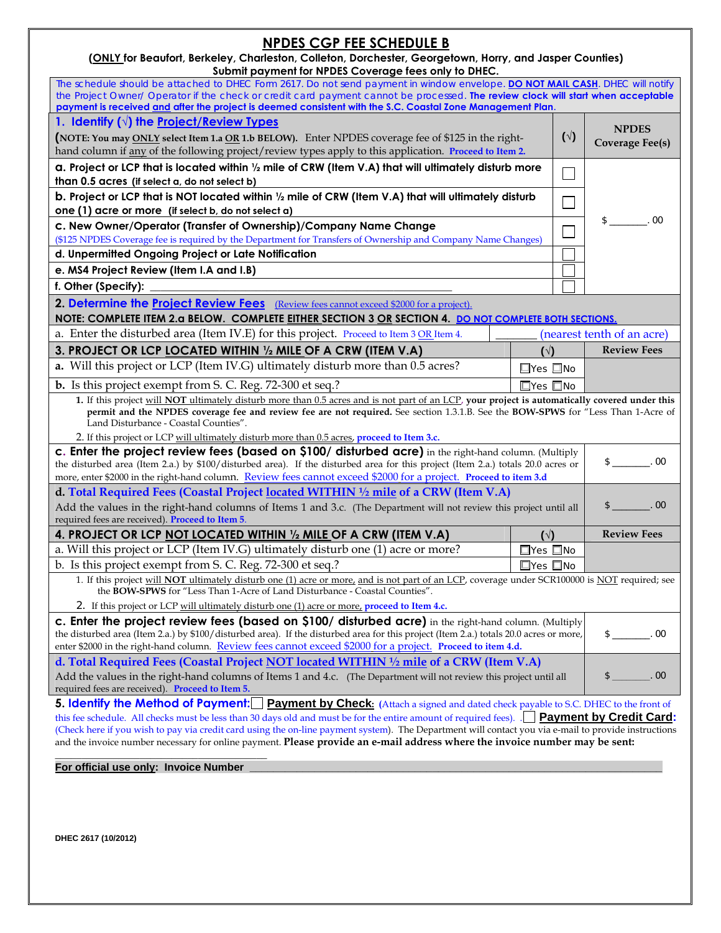# **NPDES CGP FEE SCHEDULE B**

| (ONLY for Beaufort, Berkeley, Charleston, Colleton, Dorchester, Georgetown, Horry, and Jasper Counties) |
|---------------------------------------------------------------------------------------------------------|
| Submit payment for NPDES Coverage fees only to DHEC.                                                    |

| Submit payment for NPDES Coverage rees only to DHEC.<br>The schedule should be attached to DHEC Form 2617. Do not send payment in window envelope. DO NOT MAIL CASH. DHEC will notify                                                                                                                                                                                                                                                  |                            |              |                            |
|----------------------------------------------------------------------------------------------------------------------------------------------------------------------------------------------------------------------------------------------------------------------------------------------------------------------------------------------------------------------------------------------------------------------------------------|----------------------------|--------------|----------------------------|
| the Project Owner/ Operator if the check or credit card payment cannot be processed. The review clock will start when acceptable<br>payment is received and after the project is deemed consistent with the S.C. Coastal Zone Management Plan                                                                                                                                                                                          |                            |              |                            |
| 1. Identify $(\sqrt{})$ the Project/Review Types                                                                                                                                                                                                                                                                                                                                                                                       |                            | $(\sqrt{2})$ | <b>NPDES</b>               |
| (NOTE: You may ONLY select Item 1.a OR 1.b BELOW). Enter NPDES coverage fee of \$125 in the right-                                                                                                                                                                                                                                                                                                                                     |                            |              | Coverage Fee(s)            |
| hand column if any of the following project/review types apply to this application. Proceed to Item 2.                                                                                                                                                                                                                                                                                                                                 |                            |              |                            |
| a. Project or LCP that is located within 1/2 mile of CRW (Item V.A) that will ultimately disturb more<br>than 0.5 acres (if select a, do not select b)                                                                                                                                                                                                                                                                                 |                            |              |                            |
| b. Project or LCP that is NOT located within 1/2 mile of CRW (Item V.A) that will ultimately disturb                                                                                                                                                                                                                                                                                                                                   |                            |              |                            |
| one $(1)$ acre or more (if select b, do not select a)                                                                                                                                                                                                                                                                                                                                                                                  |                            |              |                            |
| c. New Owner/Operator (Transfer of Ownership)/Company Name Change                                                                                                                                                                                                                                                                                                                                                                      |                            |              | $\frac{\$}{\$}$ . 00       |
| (\$125 NPDES Coverage fee is required by the Department for Transfers of Ownership and Company Name Changes)                                                                                                                                                                                                                                                                                                                           |                            |              |                            |
| d. Unpermitted Ongoing Project or Late Notification                                                                                                                                                                                                                                                                                                                                                                                    |                            |              |                            |
| e. MS4 Project Review (Item I.A and I.B)                                                                                                                                                                                                                                                                                                                                                                                               |                            |              |                            |
| f. Other (Specify):                                                                                                                                                                                                                                                                                                                                                                                                                    |                            |              |                            |
| 2. Determine the Project Review Fees (Review fees cannot exceed \$2000 for a project).<br>NOTE: COMPLETE ITEM 2.a BELOW. COMPLETE EITHER SECTION 3 OR SECTION 4. DO NOT COMPLETE BOTH SECTIONS.                                                                                                                                                                                                                                        |                            |              |                            |
| a. Enter the disturbed area (Item IV.E) for this project. Proceed to Item 3 OR Item 4.                                                                                                                                                                                                                                                                                                                                                 |                            |              | (nearest tenth of an acre) |
| 3. PROJECT OR LCP LOCATED WITHIN 1/2 MILE OF A CRW (ITEM V.A)                                                                                                                                                                                                                                                                                                                                                                          | $(\sqrt{2})$               |              | <b>Review Fees</b>         |
| a. Will this project or LCP (Item IV.G) ultimately disturb more than 0.5 acres?                                                                                                                                                                                                                                                                                                                                                        | $\square$ Yes $\square$ No |              |                            |
| <b>b.</b> Is this project exempt from S. C. Reg. 72-300 et seq.?                                                                                                                                                                                                                                                                                                                                                                       | $\square$ Yes $\square$ No |              |                            |
| 1. If this project will NOT ultimately disturb more than 0.5 acres and is not part of an LCP, your project is automatically covered under this<br>permit and the NPDES coverage fee and review fee are not required. See section 1.3.1.B. See the BOW-SPWS for "Less Than 1-Acre of                                                                                                                                                    |                            |              |                            |
|                                                                                                                                                                                                                                                                                                                                                                                                                                        |                            |              |                            |
| Land Disturbance - Coastal Counties".                                                                                                                                                                                                                                                                                                                                                                                                  |                            |              |                            |
| 2. If this project or LCP will ultimately disturb more than 0.5 acres, proceed to Item 3.c.<br>c. Enter the project review fees (based on \$100/ disturbed acre) in the right-hand column. (Multiply                                                                                                                                                                                                                                   |                            |              | $$$ 00                     |
| the disturbed area (Item 2.a.) by \$100/disturbed area). If the disturbed area for this project (Item 2.a.) totals 20.0 acres or<br>more, enter \$2000 in the right-hand column. Review fees cannot exceed \$2000 for a project. Proceed to item 3.d                                                                                                                                                                                   |                            |              |                            |
| d. Total Required Fees (Coastal Project located WITHIN 1/2 mile of a CRW (Item V.A)                                                                                                                                                                                                                                                                                                                                                    |                            |              |                            |
| Add the values in the right-hand columns of Items 1 and 3.c. (The Department will not review this project until all                                                                                                                                                                                                                                                                                                                    |                            |              | $$$ . 00                   |
| required fees are received). Proceed to Item 5.                                                                                                                                                                                                                                                                                                                                                                                        |                            |              |                            |
| 4. PROJECT OR LCP NOT LOCATED WITHIN 1/2 MILE OF A CRW (ITEM V.A)                                                                                                                                                                                                                                                                                                                                                                      | $(\sqrt{2})$               |              | <b>Review Fees</b>         |
| a. Will this project or LCP (Item IV.G) ultimately disturb one (1) acre or more?                                                                                                                                                                                                                                                                                                                                                       | $\square$ Yes $\square$ No |              |                            |
| b. Is this project exempt from S. C. Reg. 72-300 et seq.?                                                                                                                                                                                                                                                                                                                                                                              | $\square$ Yes $\square$ No |              |                            |
| 1. If this project will NOT ultimately disturb one (1) acre or more, and is not part of an LCP, coverage under SCR100000 is NOT required; see<br>the BOW-SPWS for "Less Than 1-Acre of Land Disturbance - Coastal Counties".                                                                                                                                                                                                           |                            |              |                            |
| 2. If this project or LCP will ultimately disturb one (1) acre or more, proceed to Item 4.c.                                                                                                                                                                                                                                                                                                                                           |                            |              |                            |
| c. Enter the project review fees (based on \$100/ disturbed acre) in the right-hand column. (Multiply<br>the disturbed area (Item 2.a.) by \$100/disturbed area). If the disturbed area for this project (Item 2.a.) totals 20.0 acres or more,                                                                                                                                                                                        |                            |              | 00<br>$\frac{1}{2}$        |
| enter \$2000 in the right-hand column. Review fees cannot exceed \$2000 for a project. Proceed to item 4.d.                                                                                                                                                                                                                                                                                                                            |                            |              |                            |
| d. Total Required Fees (Coastal Project NOT located WITHIN 1/2 mile of a CRW (Item V.A)                                                                                                                                                                                                                                                                                                                                                |                            |              |                            |
| Add the values in the right-hand columns of Items 1 and 4.c. (The Department will not review this project until all<br>required fees are received). Proceed to Item 5.                                                                                                                                                                                                                                                                 |                            |              | $S_{-}$<br>00              |
| <b>5. Identify the Method of Payment:</b> Payment by Check: (Attach a signed and dated check payable to S.C. DHEC to the front of                                                                                                                                                                                                                                                                                                      |                            |              |                            |
| this fee schedule. All checks must be less than 30 days old and must be for the entire amount of required fees). <b>Payment by Credit Card:</b><br>(Check here if you wish to pay via credit card using the on-line payment system). The Department will contact you via e-mail to provide instructions<br>and the invoice number necessary for online payment. Please provide an e-mail address where the invoice number may be sent: |                            |              |                            |

**\_\_\_\_\_\_\_\_\_\_\_\_\_\_\_\_\_\_\_\_\_\_\_\_\_\_\_\_\_\_\_\_\_\_\_\_\_\_\_\_ For official use only: Invoice Number Letter According to the United States of the United States and Contract Contract Contract Contract Contract Contract Contract Contract Contract Contract Contract Contract Contract Con**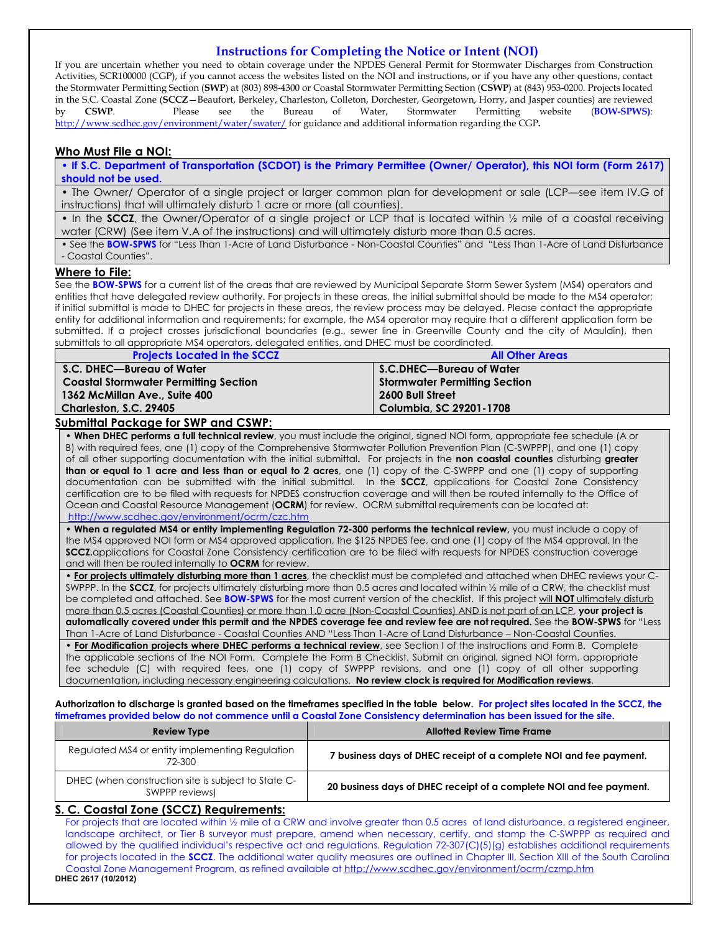#### **Instructions for Completing the Notice or Intent (NOI)**

If you are uncertain whether you need to obtain coverage under the NPDES General Permit for Stormwater Discharges from Construction Activities, SCR100000 (CGP), if you cannot access the websites listed on the NOI and instructions, or if you have any other questions, contact the Stormwater Permitting Section (**SWP**) at (803) 898-4300 or Coastal Stormwater Permitting Section (**CSWP**) at (843) 953-0200. Projects located in the S.C. Coastal Zone (**SCCZ**—Beaufort, Berkeley, Charleston, Colleton, Dorchester, Georgetown, Horry, and Jasper counties) are reviewed<br>by **CSWP**. Please see the Bureau of Water, Stormwater Permitting website (**BOW-SPW** by **CSWP**. Please see the Bureau of Water, Stormwater Permitting website (**BOW-SPWS)**: http://www.scdhec.gov/environment/water/swater/ for guidance and additional information regarding the CGP**.** 

#### **Who Must File a NOI:**

**• If S.C. Department of Transportation (SCDOT) is the Primary Permittee (Owner/ Operator), this NOI form (Form 2617) should not be used.** 

• The Owner/ Operator of a single project or larger common plan for development or sale (LCP—see item IV.G of instructions) that will ultimately disturb 1 acre or more (all counties).

• In the **SCCZ**, the Owner/Operator of a single project or LCP that is located within ½ mile of a coastal receiving water (CRW) (See item V.A of the instructions) and will ultimately disturb more than 0.5 acres.

• See the **BOW-SPWS** for "Less Than 1-Acre of Land Disturbance - Non-Coastal Counties" and "Less Than 1-Acre of Land Disturbance - Coastal Counties".

#### **Where to File:**

See the **BOW-SPWS** for a current list of the areas that are reviewed by Municipal Separate Storm Sewer System (MS4) operators and entities that have delegated review authority. For projects in these areas, the initial submittal should be made to the MS4 operator; if initial submittal is made to DHEC for projects in these areas, the review process may be delayed. Please contact the appropriate entity for additional information and requirements; for example, the MS4 operator may require that a different application form be submitted. If a project crosses jurisdictional boundaries (e.g., sewer line in Greenville County and the city of Mauldin), then submittals to all appropriate MS4 operators, delegated entities, and DHEC must be coordinated.

| <b>Projects Located in the SCCZ</b>          | <b>All Other Areas</b>               |
|----------------------------------------------|--------------------------------------|
| S.C. DHEC—Bureau of Water                    | S.C.DHEC—Bureau of Water             |
| <b>Coastal Stormwater Permitting Section</b> | <b>Stormwater Permitting Section</b> |
| 1362 McMillan Ave., Suite 400                | 2600 Bull Street                     |
| <b>Charleston, S.C. 29405</b>                | Columbia, SC 29201-1708              |

#### **Submittal Package for SWP and CSWP:**

• **When DHEC performs a full technical review**, you must include the original, signed NOI form, appropriate fee schedule (A or B) with required fees, one (1) copy of the Comprehensive Stormwater Pollution Prevention Plan (C-SWPPP), and one (1) copy of all other supporting documentation with the initial submittal**.** For projects in the **non coastal counties** disturbing **greater than or equal to 1 acre and less than or equal to 2 acres**, one (1) copy of the C-SWPPP and one (1) copy of supporting documentation can be submitted with the initial submittal. In the **SCCZ**, applications for Coastal Zone Consistency certification are to be filed with requests for NPDES construction coverage and will then be routed internally to the Office of Ocean and Coastal Resource Management (**OCRM**) for review. OCRM submittal requirements can be located at: http://www.scdhec.gov/environment/ocrm/czc.htm

• **When a regulated MS4 or entity implementing Regulation 72-300 performs the technical review,** you must include a copy of the MS4 approved NOI form or MS4 approved application, the \$125 NPDES fee, and one (1) copy of the MS4 approval. In the **SCCZ**,applications for Coastal Zone Consistency certification are to be filed with requests for NPDES construction coverage and will then be routed internally to **OCRM** for review.

• **For projects ultimately disturbing more than 1 acres**, the checklist must be completed and attached when DHEC reviews your C-SWPPP. In the **SCCZ**, for projects ultimately disturbing more than 0.5 acres and located within 1/2 mile of a CRW, the checklist must be completed and attached. See **BOW-SPWS** for the most current version of the checklist. If this project will **NOT** ultimately disturb more than 0.5 acres (Coastal Counties) or more than 1.0 acre (Non-Coastal Counties) AND is not part of an LCP, **your project is automatically covered under this permit and the NPDES coverage fee and review fee are not required.** See the **BOW-SPWS** for "Less Than 1-Acre of Land Disturbance - Coastal Counties AND "Less Than 1-Acre of Land Disturbance – Non-Coastal Counties. • **For Modification projects where DHEC performs a technical review**, see Section I of the instructions and Form B. Complete the applicable sections of the NOI Form. Complete the Form B Checklist. Submit an original, signed NOI form, appropriate

fee schedule (C) with required fees, one (1) copy of SWPPP revisions, and one (1) copy of all other supporting documentation**,** including necessary engineering calculations. **No review clock is required for Modification reviews**.

**Authorization to discharge is granted based on the timeframes specified in the table below. For project sites located in the SCCZ, the timeframes provided below do not commence until a Coastal Zone Consistency determination has been issued for the site.** 

| Review Type                                                           | <b>Allotted Review Time Frame</b>                                   |
|-----------------------------------------------------------------------|---------------------------------------------------------------------|
| Regulated MS4 or entity implementing Regulation<br>72-300             | 7 business days of DHEC receipt of a complete NOI and fee payment.  |
| DHEC (when construction site is subject to State C-<br>SWPPP reviews) | 20 business days of DHEC receipt of a complete NOI and fee payment. |

#### **S. C. Coastal Zone (SCCZ) Requirements:**

For projects that are located within 1/2 mile of a CRW and involve greater than 0.5 acres of land disturbance, a registered engineer, landscape architect, or Tier B surveyor must prepare, amend when necessary, certify, and stamp the C-SWPPP as required and allowed by the qualified individual's respective act and regulations. Regulation 72-307(C)(5)(g) establishes additional requirements for projects located in the **SCCZ**. The additional water quality measures are outlined in Chapter III, Section XIII of the South Carolina Coastal Zone Management Program, as refined available at http://www.scdhec.gov/environment/ocrm/czmp.htm **DHEC 2617 (10/2012)**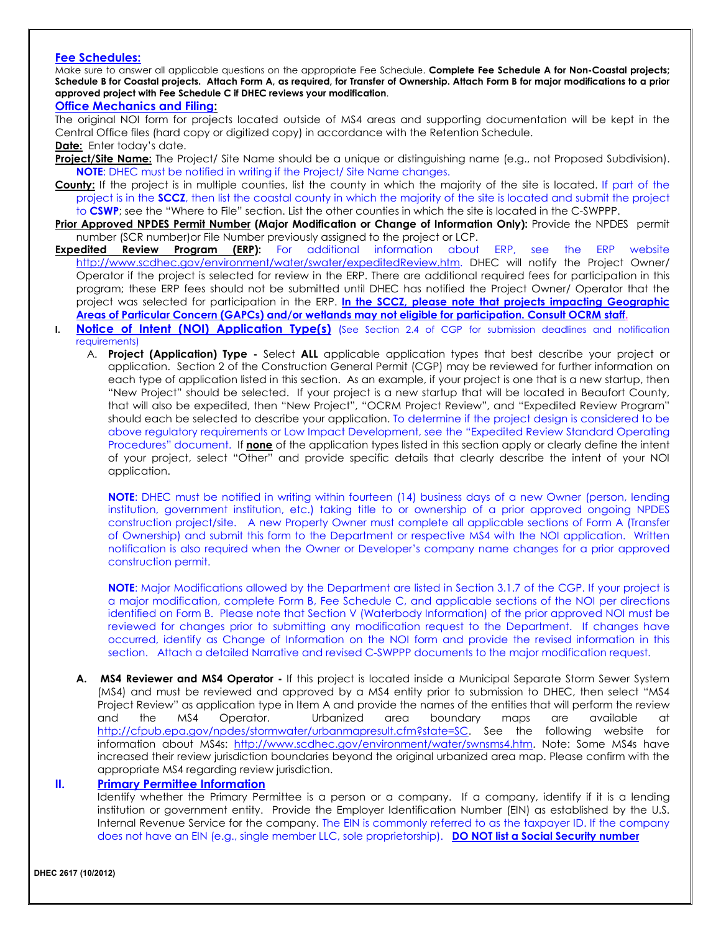#### **Fee Schedules:**

Make sure to answer all applicable questions on the appropriate Fee Schedule. **Complete Fee Schedule A for Non-Coastal projects; Schedule B for Coastal projects. Attach Form A, as required, for Transfer of Ownership. Attach Form B for major modifications to a prior approved project with Fee Schedule C if DHEC reviews your modification**.

### **Office Mechanics and Filing:**

The original NOI form for projects located outside of MS4 areas and supporting documentation will be kept in the Central Office files (hard copy or digitized copy) in accordance with the Retention Schedule. **Date:** Enter today's date.

- **Project/Site Name:** The Project/ Site Name should be a unique or distinguishing name (e.g., not Proposed Subdivision). **NOTE**: DHEC must be notified in writing if the Project/ Site Name changes.
- **County:** If the project is in multiple counties, list the county in which the majority of the site is located. If part of the project is in the **SCCZ**, then list the coastal county in which the majority of the site is located and submit the project to **CSWP**; see the "Where to File" section. List the other counties in which the site is located in the C-SWPPP.
- **Prior Approved NPDES Permit Number (Major Modification or Change of Information Only):** Provide the NPDES permit number (SCR number)or File Number previously assigned to the project or LCP.
- **Expedited Review Program (ERP):** For additional information about ERP, see the ERP website http://www.scdhec.gov/environment/water/swater/expeditedReview.htm. DHEC will notify the Project Owner/ Operator if the project is selected for review in the ERP. There are additional required fees for participation in this program; these ERP fees should not be submitted until DHEC has notified the Project Owner/ Operator that the project was selected for participation in the ERP. **In the SCCZ, please note that projects impacting Geographic Areas of Particular Concern (GAPCs) and/or wetlands may not eligible for participation. Consult OCRM staff.**
- **I. Notice of Intent (NOI) Application Type(s)** (See Section 2.4 of CGP for submission deadlines and notification requirements)
	- A. **Project (Application) Type** Select **ALL** applicable application types that best describe your project or application. Section 2 of the Construction General Permit (CGP) may be reviewed for further information on each type of application listed in this section. As an example, if your project is one that is a new startup, then "New Project" should be selected. If your project is a new startup that will be located in Beaufort County, that will also be expedited, then "New Project", "OCRM Project Review", and "Expedited Review Program" should each be selected to describe your application. To determine if the project design is considered to be above regulatory requirements or Low Impact Development, see the "Expedited Review Standard Operating Procedures" document. If **none** of the application types listed in this section apply or clearly define the intent of your project, select "Other" and provide specific details that clearly describe the intent of your NOI application.

**NOTE:** DHEC must be notified in writing within fourteen (14) business days of a new Owner (person, lending institution, government institution, etc.) taking title to or ownership of a prior approved ongoing NPDES construction project/site. A new Property Owner must complete all applicable sections of Form A (Transfer of Ownership) and submit this form to the Department or respective MS4 with the NOI application. Written notification is also required when the Owner or Developer's company name changes for a prior approved construction permit.

**NOTE**: Major Modifications allowed by the Department are listed in Section 3.1.7 of the CGP. If your project is a major modification, complete Form B, Fee Schedule C, and applicable sections of the NOI per directions identified on Form B. Please note that Section V (Waterbody Information) of the prior approved NOI must be reviewed for changes prior to submitting any modification request to the Department. If changes have occurred, identify as Change of Information on the NOI form and provide the revised information in this section. Attach a detailed Narrative and revised C-SWPPP documents to the major modification request.

**A. MS4 Reviewer and MS4 Operator -** If this project is located inside a Municipal Separate Storm Sewer System (MS4) and must be reviewed and approved by a MS4 entity prior to submission to DHEC, then select "MS4 Project Review" as application type in Item A and provide the names of the entities that will perform the review and the MS4 Operator. Urbanized area boundary maps are available at http://cfpub.epa.gov/npdes/stormwater/urbanmapresult.cfm?state=SC. See the following website for information about MS4s: http://www.scdhec.gov/environment/water/swnsms4.htm. Note: Some MS4s have increased their review jurisdiction boundaries beyond the original urbanized area map. Please confirm with the appropriate MS4 regarding review jurisdiction.

#### **II. Primary Permittee Information**

Identify whether the Primary Permittee is a person or a company. If a company, identify if it is a lending institution or government entity. Provide the Employer Identification Number (EIN) as established by the U.S. Internal Revenue Service for the company. The EIN is commonly referred to as the taxpayer ID. If the company does not have an EIN (e.g., single member LLC, sole proprietorship). **DO NOT list a Social Security number**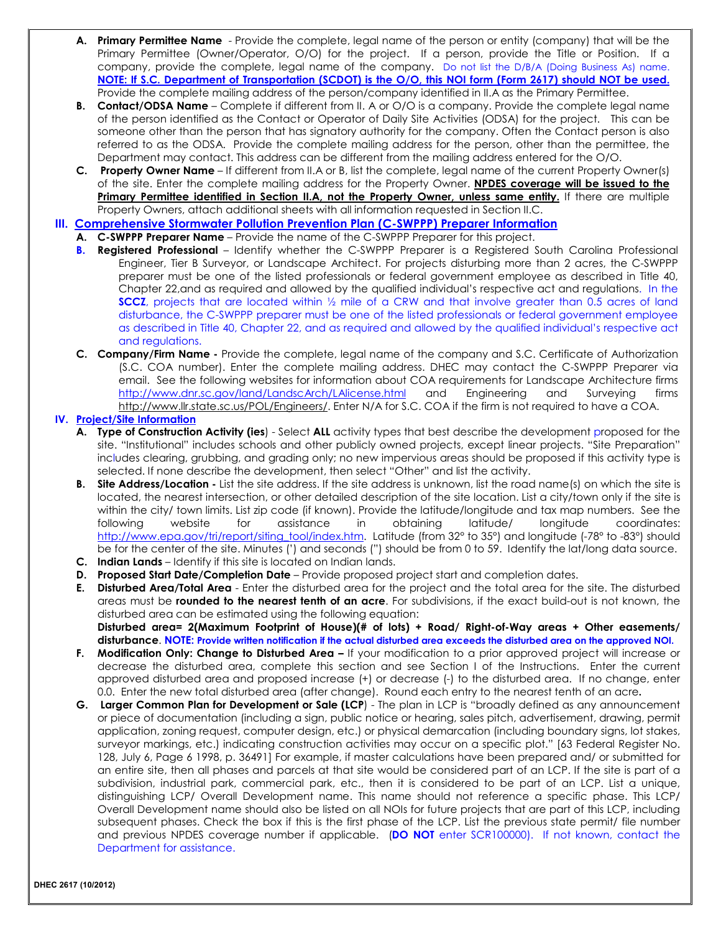- **A. Primary Permittee Name** Provide the complete, legal name of the person or entity (company) that will be the Primary Permittee (Owner/Operator, O/O) for the project. If a person, provide the Title or Position. If a company, provide the complete, legal name of the company. Do not list the D/B/A (Doing Business As) name. **NOTE: If S.C. Department of Transportation (SCDOT) is the O/O, this NOI form (Form 2617) should NOT be used.**  Provide the complete mailing address of the person/company identified in II.A as the Primary Permittee.
- **B. Contact/ODSA Name**  Complete if different from II. A or O/O is a company. Provide the complete legal name of the person identified as the Contact or Operator of Daily Site Activities (ODSA) for the project. This can be someone other than the person that has signatory authority for the company. Often the Contact person is also referred to as the ODSA. Provide the complete mailing address for the person, other than the permittee, the Department may contact. This address can be different from the mailing address entered for the O/O.
- **C. Property Owner Name** If different from II.A or B, list the complete, legal name of the current Property Owner(s) of the site. Enter the complete mailing address for the Property Owner. **NPDES coverage will be issued to the**  Primary Permittee identified in Section II.A, not the Property Owner, unless same entity. If there are multiple Property Owners, attach additional sheets with all information requested in Section II.C.
- **III. Comprehensive Stormwater Pollution Prevention Plan (C-SWPPP) Preparer Information**
	- **A. C-SWPPP Preparer Name** Provide the name of the C-SWPPP Preparer for this project.
	- **B. Registered Professional** Identify whether the C-SWPPP Preparer is a Registered South Carolina Professional Engineer, Tier B Surveyor, or Landscape Architect. For projects disturbing more than 2 acres, the C-SWPPP preparer must be one of the listed professionals or federal government employee as described in Title 40, Chapter 22,and as required and allowed by the qualified individual's respective act and regulations. In the **SCCZ**, projects that are located within 1/2 mile of a CRW and that involve greater than 0.5 acres of land disturbance, the C-SWPPP preparer must be one of the listed professionals or federal government employee as described in Title 40, Chapter 22, and as required and allowed by the qualified individual's respective act and regulations.
	- **C. Company/Firm Name** Provide the complete, legal name of the company and S.C. Certificate of Authorization (S.C. COA number). Enter the complete mailing address. DHEC may contact the C-SWPPP Preparer via email. See the following websites for information about COA requirements for Landscape Architecture firms http://www.dnr.sc.gov/land/LandscArch/LAlicense.html and Engineering and Surveying firms http://www.llr.state.sc.us/POL/Engineers/. Enter N/A for S.C. COA if the firm is not required to have a COA.

#### **IV. Project/Site Information**

- **A. Type of Construction Activity (ies**) Select **ALL** activity types that best describe the development proposed for the site. "Institutional" includes schools and other publicly owned projects, except linear projects. "Site Preparation" includes clearing, grubbing, and grading only; no new impervious areas should be proposed if this activity type is selected. If none describe the development, then select "Other" and list the activity.
- **B.** Site Address/Location List the site address. If the site address is unknown, list the road name(s) on which the site is located, the nearest intersection, or other detailed description of the site location. List a city/town only if the site is within the city/ town limits. List zip code (if known). Provide the latitude/longitude and tax map numbers. See the following website for assistance in obtaining latitude/ longitude coordinates: http://www.epa.gov/tri/report/siting\_tool/index.htm. Latitude (from 32° to 35°) and longitude (-78° to -83°) should be for the center of the site. Minutes (') and seconds (") should be from 0 to 59. Identify the lat/long data source.
- **C. Indian Lands** Identify if this site is located on Indian lands.
- **D.** Proposed Start Date/Completion Date Provide proposed project start and completion dates.
- **E. Disturbed Area/Total Area** Enter the disturbed area for the project and the total area for the site. The disturbed areas must be **rounded to the nearest tenth of an acre**. For subdivisions, if the exact build-out is not known, the disturbed area can be estimated using the following equation: **Disturbed area= 2(Maximum Footprint of House)(# of lots) + Road/ Right-of-Way areas + Other easements/ disturbance**. **NOTE: Provide written notification if the actual disturbed area exceeds the disturbed area on the approved NOI.**
- **F. Modification Only: Change to Disturbed Area** If your modification to a prior approved project will increase or decrease the disturbed area, complete this section and see Section I of the Instructions. Enter the current approved disturbed area and proposed increase (+) or decrease (-) to the disturbed area. If no change, enter 0.0. Enter the new total disturbed area (after change). Round each entry to the nearest tenth of an acre**.**
- **G. Larger Common Plan for Development or Sale (LCP**) The plan in LCP is "broadly defined as any announcement or piece of documentation (including a sign, public notice or hearing, sales pitch, advertisement, drawing, permit application, zoning request, computer design, etc.) or physical demarcation (including boundary signs, lot stakes, surveyor markings, etc.) indicating construction activities may occur on a specific plot." [63 Federal Register No. 128, July 6, Page 6 1998, p. 36491] For example, if master calculations have been prepared and/ or submitted for an entire site, then all phases and parcels at that site would be considered part of an LCP. If the site is part of a subdivision, industrial park, commercial park, etc., then it is considered to be part of an LCP. List a unique, distinguishing LCP/ Overall Development name. This name should not reference a specific phase. This LCP/ Overall Development name should also be listed on all NOIs for future projects that are part of this LCP, including subsequent phases. Check the box if this is the first phase of the LCP. List the previous state permit/ file number and previous NPDES coverage number if applicable. (**DO NOT** enter SCR100000). If not known, contact the Department for assistance.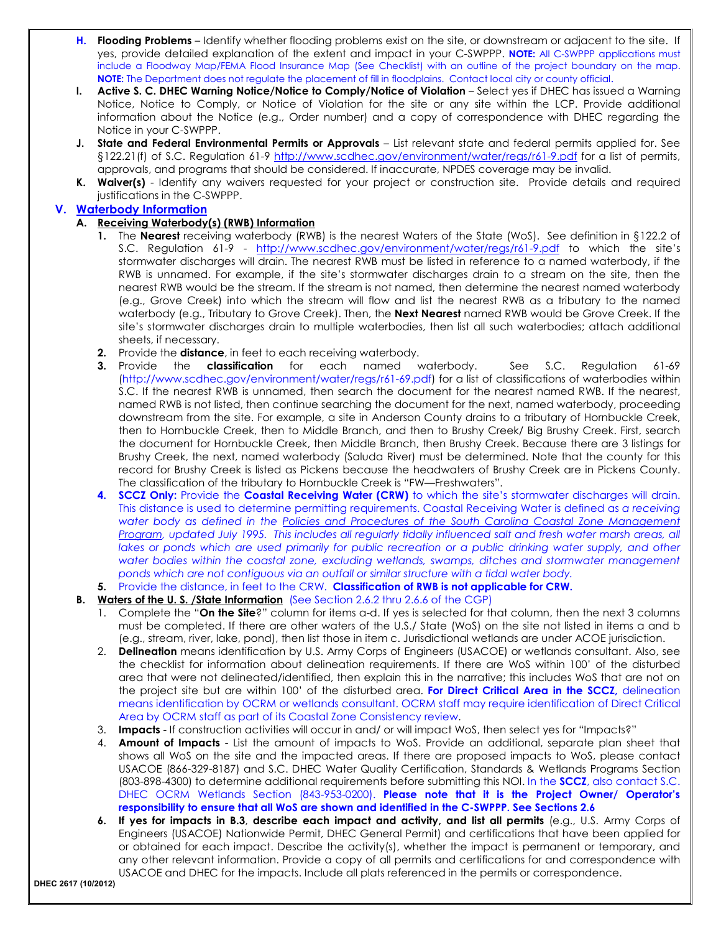- **H. Flooding Problems** Identify whether flooding problems exist on the site, or downstream or adjacent to the site. If yes, provide detailed explanation of the extent and impact in your C-SWPPP. **NOTE:** All C-SWPPP applications must include a Floodway Map/FEMA Flood Insurance Map (See Checklist) with an outline of the project boundary on the map. **NOTE:** The Department does not regulate the placement of fill in floodplains. Contact local city or county official.
- **I. Active S. C. DHEC Warning Notice/Notice to Comply/Notice of Violation** Select yes if DHEC has issued a Warning Notice, Notice to Comply, or Notice of Violation for the site or any site within the LCP. Provide additional information about the Notice (e.g., Order number) and a copy of correspondence with DHEC regarding the Notice in your C-SWPPP.
- **J. State and Federal Environmental Permits or Approvals** List relevant state and federal permits applied for. See §122.21(f) of S.C. Regulation 61-9 http://www.scdhec.gov/environment/water/regs/r61-9.pdf for a list of permits, approvals, and programs that should be considered. If inaccurate, NPDES coverage may be invalid.
- **K. Waiver(s)** Identify any waivers requested for your project or construction site. Provide details and required justifications in the C-SWPPP.

#### **V. Waterbody Information**

#### **A. Receiving Waterbody(s) (RWB) Information**

- **1.** The **Nearest** receiving waterbody (RWB) is the nearest Waters of the State (WoS). See definition in §122.2 of S.C. Regulation 61-9 - http://www.scdhec.gov/environment/water/regs/r61-9.pdf to which the site's stormwater discharges will drain. The nearest RWB must be listed in reference to a named waterbody, if the RWB is unnamed. For example, if the site's stormwater discharges drain to a stream on the site, then the nearest RWB would be the stream. If the stream is not named, then determine the nearest named waterbody (e.g., Grove Creek) into which the stream will flow and list the nearest RWB as a tributary to the named waterbody (e.g., Tributary to Grove Creek). Then, the **Next Nearest** named RWB would be Grove Creek. If the site's stormwater discharges drain to multiple waterbodies, then list all such waterbodies; attach additional sheets, if necessary.
- **2.** Provide the **distance**, in feet to each receiving waterbody.
- **3.** Provide the **classification** for each named waterbody. See S.C. Regulation 61-69 (http://www.scdhec.gov/environment/water/regs/r61-69.pdf) for a list of classifications of waterbodies within S.C. If the nearest RWB is unnamed, then search the document for the nearest named RWB. If the nearest, named RWB is not listed, then continue searching the document for the next, named waterbody, proceeding downstream from the site. For example, a site in Anderson County drains to a tributary of Hornbuckle Creek, then to Hornbuckle Creek, then to Middle Branch, and then to Brushy Creek/ Big Brushy Creek. First, search the document for Hornbuckle Creek, then Middle Branch, then Brushy Creek. Because there are 3 listings for Brushy Creek, the next, named waterbody (Saluda River) must be determined. Note that the county for this record for Brushy Creek is listed as Pickens because the headwaters of Brushy Creek are in Pickens County. The classification of the tributary to Hornbuckle Creek is "FW—Freshwaters".
- **4. SCCZ Only:** Provide the **Coastal Receiving Water (CRW)** to which the site's stormwater discharges will drain. This distance is used to determine permitting requirements. Coastal Receiving Water is defined as *a receiving water body as defined in the Policies and Procedures of the South Carolina Coastal Zone Management Program, updated July 1995. This includes all regularly tidally influenced salt and fresh water marsh areas, all lakes or ponds which are used primarily for public recreation or a public drinking water supply, and other water bodies within the coastal zone, excluding wetlands, swamps, ditches and stormwater management ponds which are not contiguous via an outfall or similar structure with a tidal water body.*

#### **5.** Provide the distance, in feet to the CRW. **Classification of RWB is not applicable for CRW.**

- **B. Waters of the U. S. /State Information** (See Section 2.6.2 thru 2.6.6 of the CGP)
	- 1. Complete the "**On the Site**?" column for items a-d. If yes is selected for that column, then the next 3 columns must be completed. If there are other waters of the U.S./ State (WoS) on the site not listed in items a and b (e.g., stream, river, lake, pond), then list those in item c. Jurisdictional wetlands are under ACOE jurisdiction.
	- 2. **Delineation** means identification by U.S. Army Corps of Engineers (USACOE) or wetlands consultant. Also, see the checklist for information about delineation requirements. If there are WoS within 100' of the disturbed area that were not delineated/identified, then explain this in the narrative; this includes WoS that are not on the project site but are within 100' of the disturbed area. **For Direct Critical Area in the SCCZ,** delineation means identification by OCRM or wetlands consultant. OCRM staff may require identification of Direct Critical Area by OCRM staff as part of its Coastal Zone Consistency review.
	- 3. **Impacts** If construction activities will occur in and/ or will impact WoS, then select yes for "Impacts?"
	- 4. **Amount of Impacts** List the amount of impacts to WoS. Provide an additional, separate plan sheet that shows all WoS on the site and the impacted areas. If there are proposed impacts to WoS, please contact USACOE (866-329-8187) and S.C. DHEC Water Quality Certification, Standards & Wetlands Programs Section (803-898-4300) to determine additional requirements before submitting this NOI. In the **SCCZ**, also contact S.C. DHEC OCRM Wetlands Section (843-953-0200). **Please note that it is the Project Owner/ Operator's responsibility to ensure that all WoS are shown and identified in the C-SWPPP. See Sections 2.6**
	- **6. If yes for impacts in B.3**, **describe each impact and activity, and list all permits** (e.g., U.S. Army Corps of Engineers (USACOE) Nationwide Permit, DHEC General Permit) and certifications that have been applied for or obtained for each impact. Describe the activity(s), whether the impact is permanent or temporary, and any other relevant information. Provide a copy of all permits and certifications for and correspondence with USACOE and DHEC for the impacts. Include all plats referenced in the permits or correspondence.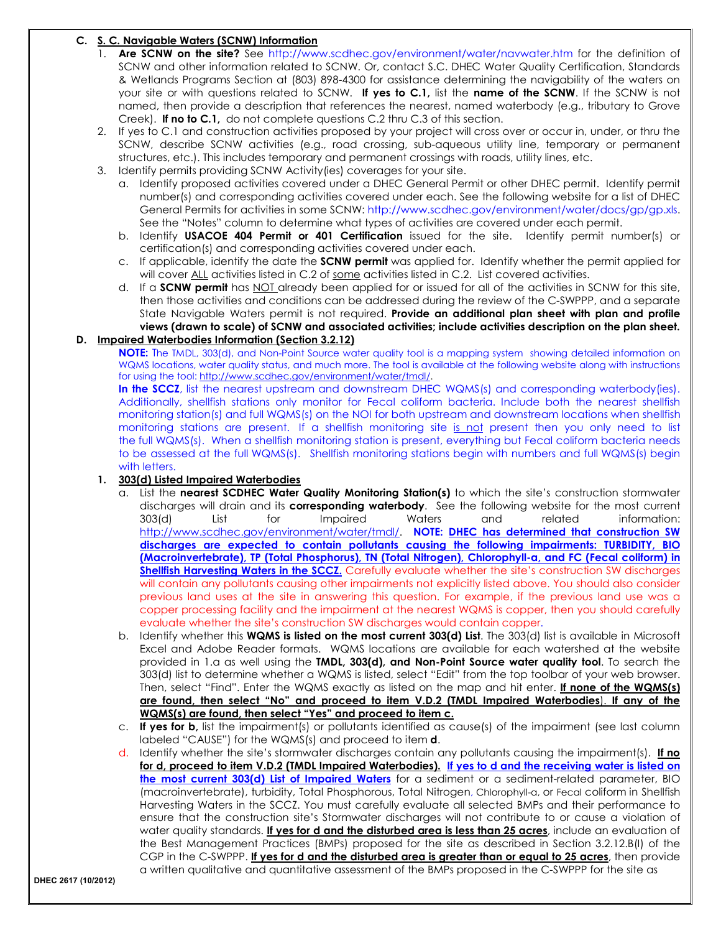#### **C. S. C. Navigable Waters (SCNW) Information**

- 1. **Are SCNW on the site?** See http://www.scdhec.gov/environment/water/navwater.htm for the definition of SCNW and other information related to SCNW. Or, contact S.C. DHEC Water Quality Certification, Standards & Wetlands Programs Section at (803) 898-4300 for assistance determining the navigability of the waters on your site or with questions related to SCNW. **If yes to C.1,** list the **name of the SCNW**. If the SCNW is not named, then provide a description that references the nearest, named waterbody (e.g., tributary to Grove Creek). **If no to C.1,** do not complete questions C.2 thru C.3 of this section.
- 2. If yes to C.1 and construction activities proposed by your project will cross over or occur in, under, or thru the SCNW, describe SCNW activities (e.g., road crossing, sub-aqueous utility line, temporary or permanent structures, etc.). This includes temporary and permanent crossings with roads, utility lines, etc.
- 3. Identify permits providing SCNW Activity(ies) coverages for your site.
	- a. Identify proposed activities covered under a DHEC General Permit or other DHEC permit. Identify permit number(s) and corresponding activities covered under each. See the following website for a list of DHEC General Permits for activities in some SCNW: http://www.scdhec.gov/environment/water/docs/gp/gp.xls. See the "Notes" column to determine what types of activities are covered under each permit.
	- b. Identify **USACOE 404 Permit or 401 Certification** issued for the site. Identify permit number(s) or certification(s) and corresponding activities covered under each.
	- c. If applicable, identify the date the **SCNW permit** was applied for. Identify whether the permit applied for will cover ALL activities listed in C.2 of some activities listed in C.2. List covered activities.
	- d. If a **SCNW permit** has NOT already been applied for or issued for all of the activities in SCNW for this site, then those activities and conditions can be addressed during the review of the C-SWPPP, and a separate State Navigable Waters permit is not required. **Provide an additional plan sheet with plan and profile views (drawn to scale) of SCNW and associated activities; include activities description on the plan sheet.**

#### **D. Impaired Waterbodies Information (Section 3.2.12)**

**NOTE:** The TMDL, 303(d), and Non-Point Source water quality tool is a mapping system showing detailed information on WQMS locations, water quality status, and much more. The tool is available at the following website along with instructions for using the tool: http://www.scdhec.gov/environment/water/tmdl/.

**In the SCCZ**, list the nearest upstream and downstream DHEC WQMS(s) and corresponding waterbody(ies). Additionally, shellfish stations only monitor for Fecal coliform bacteria. Include both the nearest shellfish monitoring station(s) and full WQMS(s) on the NOI for both upstream and downstream locations when shellfish monitoring stations are present. If a shellfish monitoring site is not present then you only need to list the full WQMS(s). When a shellfish monitoring station is present, everything but Fecal coliform bacteria needs to be assessed at the full WQMS(s). Shellfish monitoring stations begin with numbers and full WQMS(s) begin with letters.

#### **1. 303(d) Listed Impaired Waterbodies**

- a. List the **nearest SCDHEC Water Quality Monitoring Station(s)** to which the site's construction stormwater discharges will drain and its **corresponding waterbody**. See the following website for the most current 303(d) List for Impaired Waters and related information: http://www.scdhec.gov/environment/water/tmdl/. **NOTE: DHEC has determined that construction SW discharges are expected to contain pollutants causing the following impairments: TURBIDITY, BIO (Macroinvertebrate), TP (Total Phosphorus), TN (Total Nitrogen), Chlorophyll-a, and FC (Fecal coliform) in Shellfish Harvesting Waters in the SCCZ.** Carefully evaluate whether the site's construction SW discharges will contain any pollutants causing other impairments not explicitly listed above. You should also consider previous land uses at the site in answering this question. For example, if the previous land use was a copper processing facility and the impairment at the nearest WQMS is copper, then you should carefully evaluate whether the site's construction SW discharges would contain copper.
- b. Identify whether this **WQMS is listed on the most current 303(d) List**. The 303(d) list is available in Microsoft Excel and Adobe Reader formats. WQMS locations are available for each watershed at the website provided in 1.a as well using the **TMDL, 303(d), and Non-Point Source water quality tool**. To search the 303(d) list to determine whether a WQMS is listed, select "Edit" from the top toolbar of your web browser. Then, select "Find". Enter the WQMS exactly as listed on the map and hit enter. **If none of the WQMS(s) are found, then select "No" and proceed to item V.D.2 (TMDL Impaired Waterbodies**). **If any of the WQMS(s) are found, then select "Yes" and proceed to item c.**
- c. **If yes for b,** list the impairment(s) or pollutants identified as cause(s) of the impairment (see last column labeled "CAUSE") for the WQMS(s) and proceed to item **d**.
- d. Identify whether the site's stormwater discharges contain any pollutants causing the impairment(s). **If no for d, proceed to item V.D.2 (TMDL Impaired Waterbodies). If yes to d and the receiving water is listed on the most current 303(d) List of Impaired Waters** for a sediment or a sediment-related parameter, BIO (macroinvertebrate), turbidity, Total Phosphorous, Total Nitrogen, Chlorophyll-a, or Fecal coliform in Shellfish Harvesting Waters in the SCCZ. You must carefully evaluate all selected BMPs and their performance to ensure that the construction site's Stormwater discharges will not contribute to or cause a violation of water quality standards. **If yes for d and the disturbed area is less than 25 acres**, include an evaluation of the Best Management Practices (BMPs) proposed for the site as described in Section 3.2.12.B(I) of the CGP in the C-SWPPP. **If yes for d and the disturbed area is greater than or equal to 25 acres**, then provide a written qualitative and quantitative assessment of the BMPs proposed in the C-SWPPP for the site as